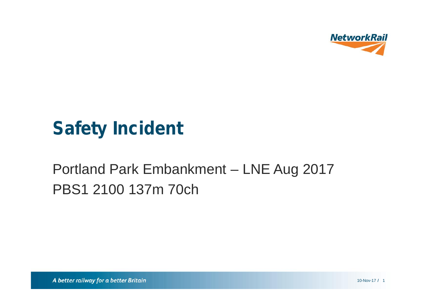

# **Safety Incident**

## Portland Park Embankment - LNE Aug 2017 PBS1 2100 137m 70ch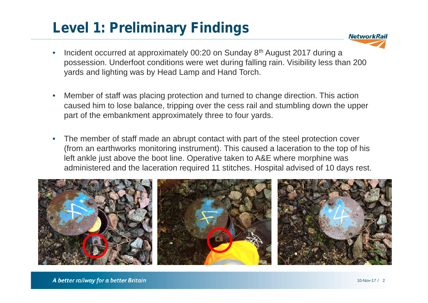## **Level 1: Preliminary Findings**



- Incident occurred at approximately 00:20 on Sunday 8th August 2017 during a possession. Underfoot conditions were wet during falling rain. Visibility less than 200 yards and lighting was by Head Lamp and Hand Torch.
- Member of staff was placing protection and turned to change direction. This action caused him to lose balance, tripping over the cess rail and stumbling down the upper part of the embankment approximately three to four yards.
- The member of staff made an abrupt contact with part of the steel protection cover (from an earthworks monitoring instrument). This caused a laceration to the top of his left ankle just above the boot line. Operative taken to A&E where morphine was administered and the laceration required 11 stitches. Hospital advised of 10 days rest.

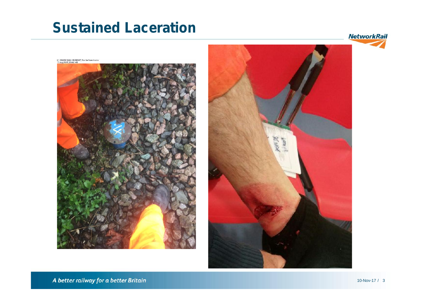#### **Sustained Laceration**

**NetworkRail** 



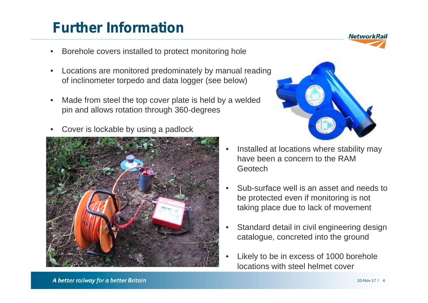## **Further Information**

- Borehole covers installed to protect monitoring hole
- Locations are monitored predominately by manual reading of inclinometer torpedo and data logger (see below)
- Made from steel the top cover plate is held by a welded pin and allows rotation through 360-degrees
- Cover is lockable by using a padlock





- Installed at locations where stability may have been a concern to the RAM Geotech
- Sub-surface well is an asset and needs to be protected even if monitoring is not taking place due to lack of movement
- Standard detail in civil engineering design catalogue, concreted into the ground
- Likely to be in excess of 1000 borehole locations with steel helmet cover

A better railway for a better Britain

**NetworkRail**